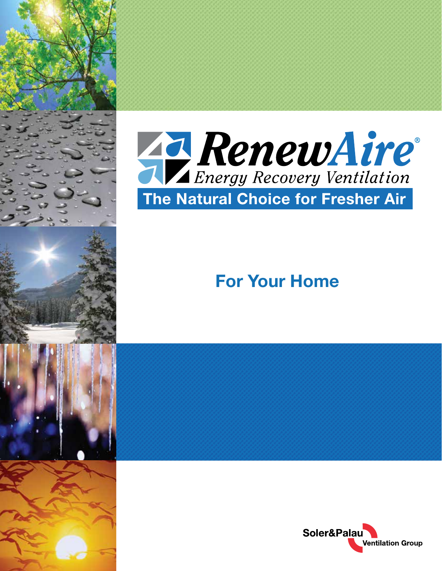



# **For Your Home**

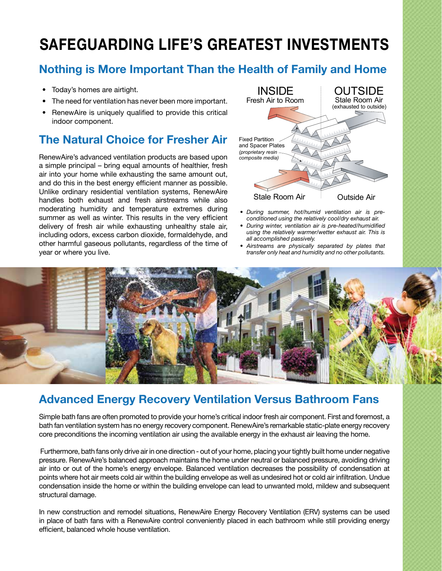# **SAFEGUARDING LIFE'S GREATEST INVESTMENTS**

# **Nothing is More Important Than the Health of Family and Home**

- Today's homes are airtight.
- The need for ventilation has never been more important.
- RenewAire is uniquely qualified to provide this critical indoor component.

### **The Natural Choice for Fresher Air**

RenewAire's advanced ventilation products are based upon a simple principal – bring equal amounts of healthier, fresh air into your home while exhausting the same amount out, and do this in the best energy efficient manner as possible. Unlike ordinary residential ventilation systems, RenewAire handles both exhaust and fresh airstreams while also moderating humidity and temperature extremes during summer as well as winter. This results in the very efficient delivery of fresh air while exhausting unhealthy stale air, including odors, excess carbon dioxide, formaldehyde, and other harmful gaseous pollutants, regardless of the time of year or where you live.



- *• During summer, hot/humid ventilation air is preconditioned using the relatively cool/dry exhaust air.*
- *• During winter, ventilation air is pre-heated/humidified using the relatively warmer/wetter exhaust air. This is all accomplished passively.*
- *• Airstreams are physically separated by plates that transfer only heat and humidity and no other pollutants.*



#### **Advanced Energy Recovery Ventilation Versus Bathroom Fans**

Simple bath fans are often promoted to provide your home's critical indoor fresh air component. First and foremost, a bath fan ventilation system has no energy recovery component. RenewAire's remarkable static-plate energy recovery core preconditions the incoming ventilation air using the available energy in the exhaust air leaving the home.

 Furthermore, bath fans only drive air in one direction - out of your home, placing your tightly built home under negative pressure. RenewAire's balanced approach maintains the home under neutral or balanced pressure, avoiding driving air into or out of the home's energy envelope. Balanced ventilation decreases the possibility of condensation at points where hot air meets cold air within the building envelope as well as undesired hot or cold air infiltration. Undue condensation inside the home or within the building envelope can lead to unwanted mold, mildew and subsequent structural damage.

In new construction and remodel situations, RenewAire Energy Recovery Ventilation (ERV) systems can be used in place of bath fans with a RenewAire control conveniently placed in each bathroom while still providing energy efficient, balanced whole house ventilation.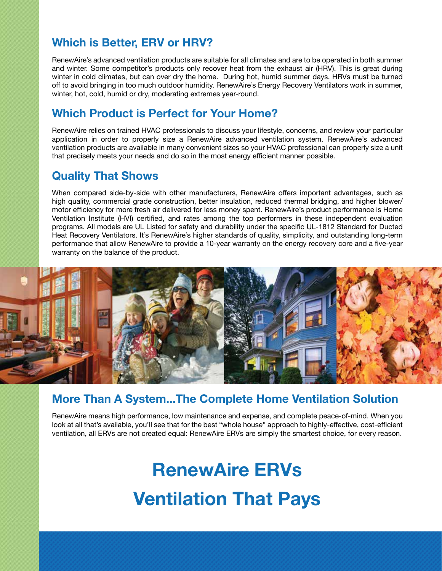## **Which is Better, ERV or HRV?**

RenewAire's advanced ventilation products are suitable for all climates and are to be operated in both summer and winter. Some competitor's products only recover heat from the exhaust air (HRV). This is great during winter in cold climates, but can over dry the home. During hot, humid summer days, HRVs must be turned off to avoid bringing in too much outdoor humidity. RenewAire's Energy Recovery Ventilators work in summer, winter, hot, cold, humid or dry, moderating extremes year-round.

### **Which Product is Perfect for Your Home?**

RenewAire relies on trained HVAC professionals to discuss your lifestyle, concerns, and review your particular application in order to properly size a RenewAire advanced ventilation system. RenewAire's advanced ventilation products are available in many convenient sizes so your HVAC professional can properly size a unit that precisely meets your needs and do so in the most energy efficient manner possible.

## **Quality That Shows**

When compared side-by-side with other manufacturers, RenewAire offers important advantages, such as high quality, commercial grade construction, better insulation, reduced thermal bridging, and higher blower/ motor efficiency for more fresh air delivered for less money spent. RenewAire's product performance is Home Ventilation Institute (HVI) certified, and rates among the top performers in these independent evaluation programs. All models are UL Listed for safety and durability under the specific UL-1812 Standard for Ducted Heat Recovery Ventilators. It's RenewAire's higher standards of quality, simplicity, and outstanding long-term performance that allow RenewAire to provide a 10-year warranty on the energy recovery core and a five-year warranty on the balance of the product.



#### **More Than A System...The Complete Home Ventilation Solution**

RenewAire means high performance, low maintenance and expense, and complete peace-of-mind. When you look at all that's available, you'll see that for the best "whole house" approach to highly-effective, cost-efficient ventilation, all ERVs are not created equal: RenewAire ERVs are simply the smartest choice, for every reason.

# **RenewAire ERVs Ventilation That Pays**